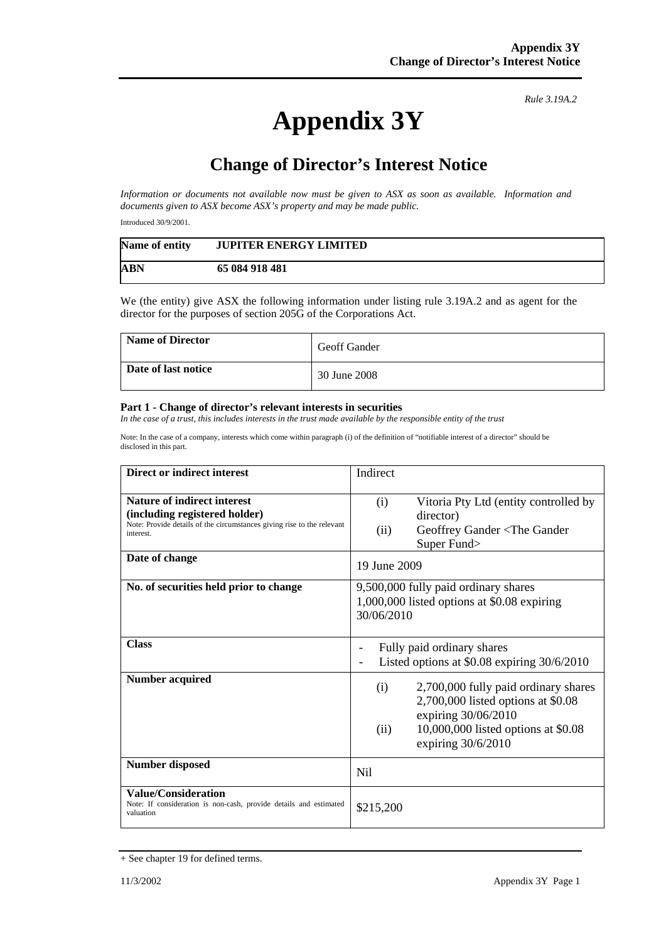## **Appendix 3Y**

*Rule 3.19A.2*

## **Change of Director's Interest Notice**

*Information or documents not available now must be given to ASX as soon as available. Information and documents given to ASX become ASX's property and may be made public.* 

Introduced 30/9/2001.

| Name of entity | <b>JUPITER ENERGY LIMITED</b> |
|----------------|-------------------------------|
| <b>ABN</b>     | 65 084 918 481                |

We (the entity) give ASX the following information under listing rule 3.19A.2 and as agent for the director for the purposes of section 205G of the Corporations Act.

| <b>Name of Director</b> | <b>Geoff Gander</b> |
|-------------------------|---------------------|
| Date of last notice     | 30 June 2008        |

## **Part 1 - Change of director's relevant interests in securities**

*In the case of a trust, this includes interests in the trust made available by the responsible entity of the trust* 

Note: In the case of a company, interests which come within paragraph (i) of the definition of "notifiable interest of a director" should be disclosed in this part.

| <b>Direct or indirect interest</b>                                                                                                                         | Indirect                                                                                                                                                                      |
|------------------------------------------------------------------------------------------------------------------------------------------------------------|-------------------------------------------------------------------------------------------------------------------------------------------------------------------------------|
| <b>Nature of indirect interest</b><br>(including registered holder)<br>Note: Provide details of the circumstances giving rise to the relevant<br>interest. | Vitoria Pty Ltd (entity controlled by<br>(i)<br>director)<br>Geoffrey Gander <the gander<br="">(ii)<br/>Super Fund&gt;</the>                                                  |
| Date of change                                                                                                                                             | 19 June 2009                                                                                                                                                                  |
| No. of securities held prior to change                                                                                                                     | 9,500,000 fully paid ordinary shares<br>1,000,000 listed options at \$0.08 expiring<br>30/06/2010                                                                             |
| <b>Class</b>                                                                                                                                               | Fully paid ordinary shares<br>Listed options at $$0.08$ expiring $30/6/2010$                                                                                                  |
| <b>Number acquired</b>                                                                                                                                     | 2,700,000 fully paid ordinary shares<br>(i)<br>2,700,000 listed options at \$0.08<br>expiring 30/06/2010<br>10,000,000 listed options at \$0.08<br>(ii)<br>expiring 30/6/2010 |
| <b>Number disposed</b>                                                                                                                                     | N <sub>i</sub>                                                                                                                                                                |
| <b>Value/Consideration</b><br>Note: If consideration is non-cash, provide details and estimated<br>valuation                                               | \$215,200                                                                                                                                                                     |

<sup>+</sup> See chapter 19 for defined terms.